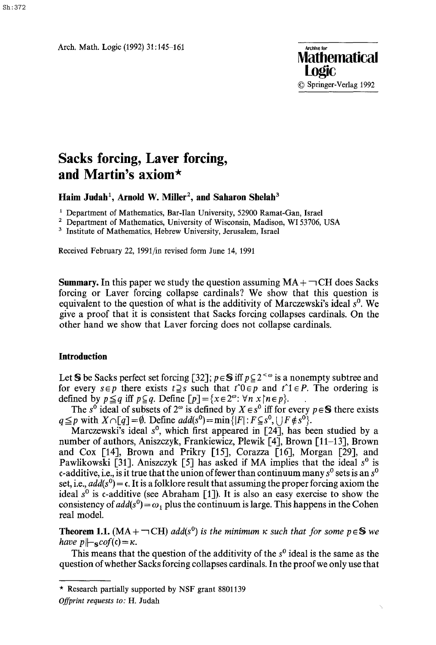Arch. Math. Logic (1992) 31:145-161



# **Sacks forcing, Laver forcing, and Martin's axiom\***

Haim Judah<sup>1</sup>, Arnold W. Miller<sup>2</sup>, and Saharon Shelah<sup>3</sup>

<sup>1</sup> Department of Mathematics, Bar-Ilan University, 52900 Ramat-Gan, Israel

<sup>2</sup> Department of Mathematics, University of Wisconsin, Madison, WI 53706, USA

<sup>3</sup> Institute of Mathematics, Hebrew University, Jerusalem, Israel

Received February 22, 1991/in revised form June 14, 1991

**Summary.** In this paper we study the question assuming  $MA + \neg CH$  does Sacks forcing or Laver forcing collapse cardinals? We show that this question is equivalent to the question of what is the additivity of Marczewski's ideal  $s^0$ . We give a proof that it is consistent that Sacks forcing collapses cardinals. On the other hand we show that Laver forcing does not collapse cardinals.

#### **Introduction**

Let S be Sacks perfect set forcing [32];  $p \in S$  iff  $p \subseteq 2^{< \omega}$  is a nonempty subtree and for every  $s \in p$  there exists  $t \geq s$  such that  $t \circ \theta \in p$  and  $t \circ 1 \in P$ . The ordering is defined by  $p \leq q$  iff  $p \subseteq q$ . Define  $[p] = \{x \in 2^{\omega} : \forall n \le |n \in p\}$ .

The s<sup>0</sup> ideal of subsets of  $2^\omega$  is defined by  $X \in s^0$  iff for every  $p \in S$  there exists  $q \leq p$  with  $X \cap [q] = \emptyset$ . Define  $add(s^0) = \min\{|F| : F \subseteq s^0, |F| \notin s^0\}$ .

Marczewski's ideal  $s^0$ , which first appeared in [24], has been studied by a number of authors, Aniszczyk, Frankiewicz, Plewik [4], Brown [11-13], Brown and Cox [14], Brown and Prikry [15], Corazza [16], Morgan [29], and Pawlikowski [31]. Aniszczyk [5] has asked if MA implies that the ideal  $s^0$  is c-additive, i.e., is it true that the union of fewer than continuum many  $s^0$  sets is an  $s^0$ set, i.e.,  $add(s^0) = c$ . It is a folklore result that assuming the proper forcing axiom the ideal  $s^0$  is c-additive (see Abraham [1]). It is also an easy exercise to show the consistency of  $add(s^0) = \omega_1$  plus the continuum is large. This happens in the Cohen real model.

**Theorem 1.1.** (MA +  $\neg$ CH) *add*(s<sup>0</sup>) is the minimum  $\kappa$  such that for some  $p \in S$  we *have*  $p\left\|-\frac{1}{s}cof(t)\right\|=\kappa$ .

This means that the question of the additivity of the  $s<sup>0</sup>$  ideal is the same as the question of whether Sacks forcing collapses cardinals. In the proof we only use that

<sup>\*</sup> Research partially supported by NSF grant 8801139 *Offprint requests to:* H. Judah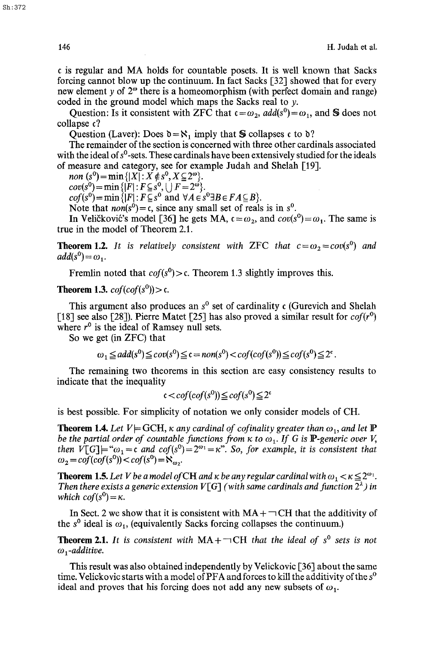r is regular and MA holds for countable posets. It is well known that Sacks forcing cannot blow up the continuum. In fact Sacks [32] showed that for every new element y of  $2^{\omega}$  there is a homeomorphism (with perfect domain and range) coded in the ground model which maps the Sacks real to y.

Question: Is it consistent with ZFC that  $c = \omega_2$ ,  $add(s^0) = \omega_1$ , and S does not collapse c?

Question (Laver): Does  $\mathfrak{d} = \aleph_1$  imply that S collapses c to  $\mathfrak{d}$ ?

The remainder of the section is concerned with three other cardinals associated with the ideal of  $s^0$ -sets. These cardinals have been extensively studied for the ideals of measure and category, see for example Judah and Shelah [19].

*non*  $(s^0) = \min\{|X| : X \notin s^0, X \subseteq 2^{\omega}\}.$ 

 $cov(s^0) = \min\{|F|: F \subseteq s^0, \bigcup F = 2^{\omega}\}.$ 

 $cof(s^0) = \min\{|F|: F \subseteq s^0 \text{ and } \forall A \in s^0 \exists B \in FA \subseteq B\}.$ 

Note that  $\text{non}(s^0) = c$ , since any small set of reals is in  $s^0$ .

In Veličković's model [36] he gets MA,  $\epsilon = \omega_2$ , and  $cov(s^0) = \omega_1$ . The same is true in the model of Theorem 2.1.

**Theorem 1.2.** *It is relatively consistent with ZFC that*  $c = \omega_2 = cov(s^0)$  *and*  $add(s^0) = \omega_1$ .

Fremlin noted that  $cof(s^0) > c$ . Theorem 1.3 slightly improves this.

## **Theorem 1.3.**  $cof(cof(s^0)) > c$ .

This argument also produces an  $s^0$  set of cardinality c (Gurevich and Shelah [18] see also [28]). Pierre Matet [25] has also proved a similar result for  $cof(r^0)$ where  $r^0$  is the ideal of Ramsey null sets.

So we get (in ZFC) that

 $\omega_1 \leq add(s^0) \leq cov(s^0) \leq c = non(s^0) < cof(cof(s^0)) \leq cof(s^0) \leq 2^c$ .

The remaining two theorems in this section are easy consistency results to indicate that the inequality

$$
c < cof(cof(s^{0})) \leq cof(s^{0}) \leq 2^{c}
$$

is best possible. For simplicity of notation we only consider models of CH.

**Theorem 1.4.** Let  $V \models GCH$ ,  $\kappa$  *any cardinal of cofinality greater than*  $\omega_1$ *, and let*  $\mathbb{P}$ *be the partial order of countable functions from*  $\kappa$  *to*  $\omega_1$ *. If G is P-generic over V,* then  $V[G] = \alpha_1 = \alpha$  and  $cof(s^0) = 2^{\omega_1} = \kappa^2$ . So, for example, it is consistent that  $\omega_2 = cof(cof(s^0)) < cof(s^0) = N_{\omega_2}.$ 

**Theorem 1.5.** Let V be a model of CH and  $\kappa$  be any regular cardinal with  $\omega_1 < \kappa \leq 2^{\omega_1}$ . *Then there exists a generic extension V*[G] (with same cardinals and function  $2^{\lambda}$ ) in *which cof*( $s^0$ ) =  $\kappa$ .

In Sect. 2 we show that it is consistent with  $MA + \neg CH$  that the additivity of the  $s^0$  ideal is  $\omega_1$ , (equivalently Sacks forcing collapses the continuum.)

**Theorem 2.1.** It is consistent with  $MA + \neg CH$  that the ideal of s<sup>0</sup> sets is not  $\omega_1$ -additive.

This result was also obtained independently by Velickovic [36] about the same time. Velickovic starts with a model of PFA and forces to kill the additivity of the  $s^0$ ideal and proves that his forcing does not add any new subsets of  $\omega_1$ .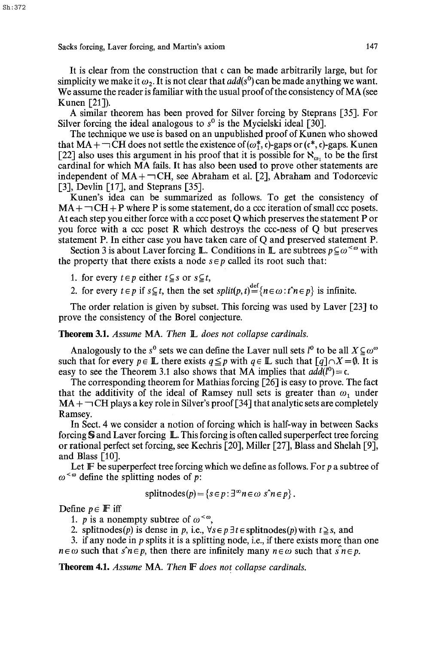It is clear from the construction that c can be made arbitrarily large, but for simplicity we make it  $\omega_2$ . It is not clear that  $add(s^0)$  can be made anything we want. We assume the reader is familiar with the usual proof of the consistency of MA (see Kunen  $[21]$ ).

A similar theorem has been proved for Silver forcing by Steprans [35]. For Silver forcing the ideal analogous to  $s^0$  is the Mycielski ideal [30].

The technique we use is based on an unpublished proof of Kunen who showed that MA +  $\neg$  CH does not settle the existence of ( $\omega^*$ , c)-gaps or ( $c^*$ , c)-gaps. Kunen [22] also uses this argument in his proof that it is possible for  $\aleph_{\omega}$ , to be the first cardinal for which MA fails. It has also been used to prove other statements are independent of  $MA + \neg CH$ , see Abraham et al. [2], Abraham and Todorcevic [3], Devlin [17], and Steprans [35].

Kunen's idea can be summarized as follows. To get the consistency of  $MA + \neg CH + P$  where P is some statement, do a ccc iteration of small ccc posets. At each step you either force with a *ccc* poset Q which preserves the statement P or you force with a *ccc* poset R which destroys the ccc-ness of Q but preserves statement P. In either case you have taken care of Q and preserved statement P.

Section 3 is about Laver forcing **L**. Conditions in **L** are subtrees  $p \subseteq \omega^{\lt \omega}$  with the property that there exists a node  $s \in p$  called its root such that:

1. for every  $t \in p$  either  $t \subseteq s$  or  $s \subseteq t$ ,

2. for every  $t \in p$  if  $s \subseteq t$ , then the set  $split(p, t) = \{n \in \omega : t \cap t \in p\}$  is infinite.

The order relation is given by subset. This forcing was used by Laver [23] to prove the consistency of the Borel conjecture.

# Theorem 3.1. *Assume* MA. *Then II. does not collapse cardinals.*

Analogously to the s<sup>0</sup> sets we can define the Laver null sets  $l^0$  to be all  $X \subseteq \omega^{\omega}$ such that for every  $p \in \mathbb{L}$  there exists  $q \leq p$  with  $q \in \mathbb{L}$  such that  $\lceil q \rceil \cap X = \emptyset$ . It is easy to see the Theorem 3.1 also shows that MA implies that  $add(l^0) = c$ .

The corresponding theorem for Mathias forcing [26] is easy to prove. The fact that the additivity of the ideal of Ramsey null sets is greater than  $\omega_1$  under  $MA + \neg CH$  plays a key role in Silver's proof [34] that analytic sets are completely Ramsey.

In Sect. 4 we consider a notion of forcing which is half-way in between Sacks forcing  $S$  and Laver forcing  $\mathbb{L}$ . This forcing is often called superperfect tree forcing or rational perfect set forcing, see Kechris [20], Miller [27], Blass and Shelah [9], and Blass [10].

Let  $\mathbb F$  be superperfect tree forcing which we define as follows. For p a subtree of  $\omega^{\lt}\omega$  define the splitting nodes of p:

$$
splitnodes(p) = \{ s \in p : \exists^{\infty} n \in \omega \; s \land n \in p \} .
$$

Define  $p \in \mathbb{F}$  iff

1. *p* is a nonempty subtree of  $\omega^{\lt \omega}$ ,

2. splitnodes(p) is dense in p, i.e.,  $\forall s \in p \exists t \in \text{splitnodes}(p)$  with  $t \geq s$ , and

3. if any node in  $p$  splits it is a splitting node, i.e., if there exists more than one  $n \in \omega$  such that  $\hat{s}n \in p$ , then there are infinitely many  $n \in \omega$  such that  $\hat{s}n \in p$ .

Theorem 4.1. *Assume* MA. *Then IF does not collapse cardinals.*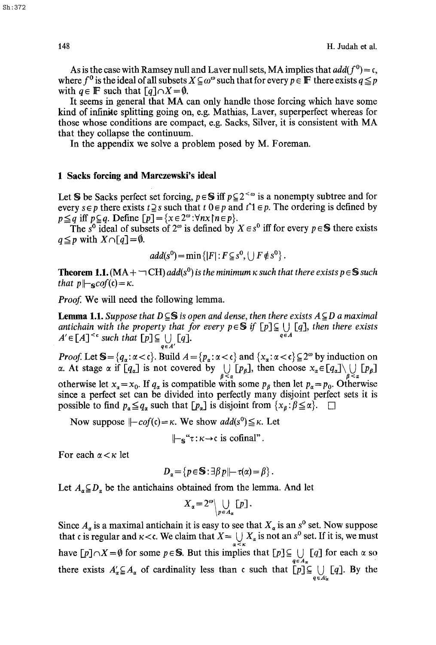As is the case with Ramsey null and Laver null sets, MA implies that *add*( $f^0$ ) = c, where  $f^0$  is the ideal of all subsets  $X \subseteq \omega^\omega$  such that for every  $p \in \mathbb{F}$  there exists  $q \leq p$ with  $q \in \mathbb{F}$  such that  $\lbrack q \rbrack \cap X = \emptyset$ .

It seems in general that MA can only handle those forcing which have some kind of infinite splitting going on, e.g. Mathias, Laver, superperfect whereas for those whose conditions are compact, e.g. Sacks, Silver, it is consistent with MA that they collapse the continuum.

In the appendix we solve a problem posed by M. Foreman.

#### **1 Sacks forcing and Marezewski's ideal**

Let S be Sacks perfect set forcing,  $p \in S$  iff  $p \subseteq 2^{< \omega}$  is a nonempty subtree and for every  $s \in p$  there exists  $t \geq s$  such that  $t \in p$  and  $t \in p$ . The ordering is defined by  $p \leq q$  iff  $p \subseteq q$ . Define  $[p] = \{x \in 2^\omega : \forall nx \mid n \in p\}.$ 

The s<sup>o</sup> ideal of subsets of 2<sup> $\omega$ </sup> is defined by  $X \in s^0$  iff for every  $p \in S$  there exists  $q \leq p$  with  $X \cap [q] = \emptyset$ .

$$
add(s^0) = \min\left\{ |F|: F \subseteq s^0, \bigcup F \notin s^0 \right\}.
$$

**Theorem 1.1.** ( $MA + \neg CH$ ) *add*(s<sup>0</sup>) is the minimum  $\kappa$  such that there exists  $p \in S$  such *that*  $p \left| \neg \text{cof}(\mathfrak{c}) \right| = \kappa$ .

*Proof.* We will need the following lemma.

**Lemma 1.1.** *Suppose that*  $D \subseteq S$  *is open and dense, then there exists*  $A \subseteq D$  *a maximal antichain with the property that for every*  $p \in S$  *if*  $[p] \subseteq \bigcup_{q \in A} [q]$ *, then there exists*  $A' \subseteq F$  $A \subseteq S$  *and that*  $F \cap C$  *ii*  $F \cap A$  $A' \in [A]^{<\epsilon}$  such that  $[p] \subseteq \bigcup_{q \in A'} [q]$ .  $q \in A$ 

*Proof.* Let  $S = \{q_\alpha : \alpha < c\}$ . Build  $A = \{p_\alpha : \alpha < c\}$  and  $\{x_\alpha : \alpha < c\} \subseteq 2^\omega$  by induction on  $\alpha$ . At stage  $\alpha$  if  $[q_{\alpha}]$  is not covered by  $\bigcup_{\beta \leq \alpha} [p_{\beta}]$ , then choose  $x_{\alpha} \in [q_{\alpha}] \setminus \bigcup_{\beta \leq \alpha} [p_{\beta}]$ otherwise let  $x_{\alpha} = x_0$ . If  $q_{\alpha}$  is compatible with some  $p_{\beta}$  then let  $p_{\alpha} = p_0$ . Otherwise since a perfect set can be divided into perfectly many disjoint perfect sets it is possible to find  $p_{\alpha} \leq q_{\alpha}$  such that  $[p_{\alpha}]$  is disjoint from  $\{x_{\beta} : \beta \leq \alpha\}$ .  $\square$ 

Now suppose  $\left| -cof(c) = \kappa$ . We show  $add(s^0) \leq \kappa$ . Let

$$
\Vdash_{\mathbb{S}} \mathscr{F} : \kappa \to \mathfrak{c} \text{ is cofinal}^n.
$$

For each  $\alpha < \kappa$  let

$$
D_{\alpha} = \{p \in \mathbb{S} : \exists \beta p \mid \neg \tau(\alpha) = \beta\}.
$$

Let  $A_{\alpha} \subseteq D_{\alpha}$  be the antichains obtained from the lemma. And let

$$
X_{\alpha} = 2^{\omega} \bigcup_{p \in A_{\alpha}} [p].
$$

Since  $A_{\alpha}$  is a maximal antichain it is easy to see that  $X_{\alpha}$  is an s<sup>o</sup> set. Now suppose that c is regular and  $\kappa < c$ . We claim that  $X = \bigcup X_\alpha$  is not an s<sup>o</sup> set. If it is, we must have  $[p]\cap X=\emptyset$  for some  $p\in S$ . But this implies that  $[p]\subseteq \bigcup_{q\in A_{\alpha}} [q]$  for each  $\alpha$  so there exists  $A'_\alpha \subseteq A_\alpha$  of cardinality less than c such that  $[p] \subseteq \bigcup_{q \in A_\alpha} [q]$ . By the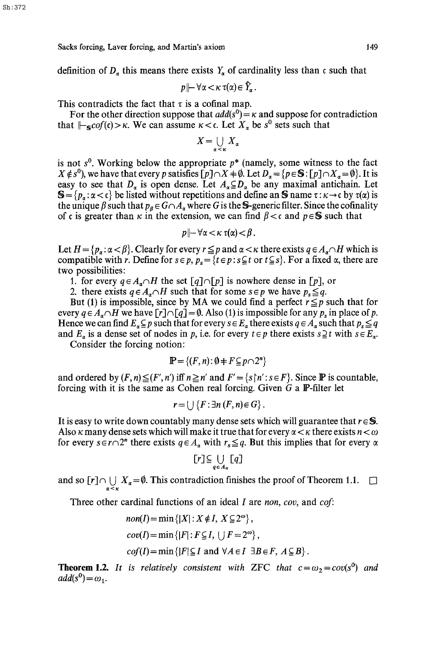definition of  $D_{\alpha}$  this means there exists  $Y_{\alpha}$  of cardinality less than c such that

$$
p \,\|\, \forall \alpha < \kappa \ \tau(\alpha) \in \widehat{Y}_{\alpha} \, .
$$

This contradicts the fact that  $\tau$  is a cofinal map.

For the other direction suppose that  $add(s^0) = \kappa$  and suppose for contradiction that  $\|\text{-s}cof(t)\|>\kappa$ . We can assume  $\kappa < \epsilon$ . Let  $X_{\alpha}$  be  $s^0$  sets such that

$$
X=\bigcup_{\alpha<\kappa}X_\alpha
$$

is not  $s^0$ . Working below the appropriate  $p^*$  (namely, some witness to the fact  $X \notin S^0$ , we have that every p satisfies  $[p] \cap X = \emptyset$ . Let  $D_{\alpha} = \{p \in S : [p] \cap X_{\alpha} = \emptyset\}$ . It is easy to see that  $D_{\alpha}$  is open dense. Let  $A_{\alpha} \subseteq D_{\alpha}$  be any maximal antichain. Let  $S = \{p_\alpha : \alpha < \mathfrak{c}\}\)$  be listed without repetitions and define an S name  $\tau : \kappa \to \mathfrak{c}$  by  $\tau(\alpha)$  is the unique  $\beta$  such that  $p_{\beta} \in G \cap A_{\alpha}$  where G is the **S**-generic filter. Since the cofinality of c is greater than  $\kappa$  in the extension, we can find  $\beta < c$  and  $p \in S$  such that

$$
p\,\|\!-\!\forall\alpha\!<\!\kappa\;\tau(\alpha)\!<\!\beta\,.
$$

Let  $H = \{p_\alpha : \alpha < \beta\}$ . Clearly for every  $r \leq p$  and  $\alpha < \kappa$  there exists  $q \in A_\alpha \cap H$  which is compatible with r. Define for  $s \in p$ ,  $p_s = \{t \in p : s \subseteq t \text{ or } t \subseteq s\}$ . For a fixed  $\alpha$ , there are two possibilities:

1. for every  $q \in A_n \cap H$  the set  $\lceil q \rceil \cap \lceil p \rceil$  is nowhere dense in  $\lceil p \rceil$ , or

2. there exists  $q \in A_n \cap H$  such that for some  $s \in p$  we have  $p_s \leq q$ .

But (1) is impossible, since by MA we could find a perfect  $r \leq p$  such that for every  $q \in A_{\alpha} \cap H$  we have  $[r] \cap [q] = \emptyset$ . Also (1) is impossible for any  $p_s$  in place of p. Hence we can find  $E_a \subseteq p$  such that for every  $s \in E_a$  there exists  $q \in A_a$  such that  $p_s \leq q$ and  $E_a$  is a dense set of nodes in p, i.e. for every  $t \in p$  there exists  $s \supseteq t$  with  $s \in E_a$ .

Consider the forcing notion:

$$
\mathbb{P} = \{(F, n) : \emptyset + F \subseteq p \cap 2^n\}
$$

and ordered by  $(F, n) \leq (F', n')$  iff  $n \geq n'$  and  $F' = \{s \mid n' : s \in F\}$ . Since  $\mathbb P$  is countable, forcing with it is the same as Cohen real forcing. Given  $G$  a  $\mathbb{P}\text{-filter}$  let

$$
r=\bigcup\left\{F:\exists n\left(F,n\right)\in G\right\}.
$$

It is easy to write down countably many dense sets which will guarantee that  $r \in S$ . Also  $\kappa$  many dense sets which will make it true that for every  $\alpha < \kappa$  there exists  $n < \omega$ for every  $s \in r \cap 2^n$  there exists  $q \in A_\alpha$  with  $r_s \leq q$ . But this implies that for every  $\alpha$ 

$$
[r] \subseteq \bigcup_{q \in A_{\alpha}} [q]
$$

and so  $[r] \cap \bigcup_{\alpha \leq \kappa} X_{\alpha} = \emptyset$ . This contradiction finishes the proof of Theorem 1.1.  $\Box$ 

Three other cardinal functions of an ideal I are *non, coy,* and *col:* 

$$
non(I) = \min \{|X| : X \notin I, X \subseteq 2^{\omega}\},
$$
  
\n
$$
cov(I) = \min \{|F| : F \subseteq I, \bigcup F = 2^{\omega}\},
$$
  
\n
$$
cof(I) = \min \{|F| \subseteq I \text{ and } \forall A \in I \exists B \in F, A \subseteq B\}.
$$

**Theorem 1.2.** *It is relatively consistent with ZFC that*  $c = \omega_2 = cov(s^0)$  *and*  $add(s^0) = \omega_1.$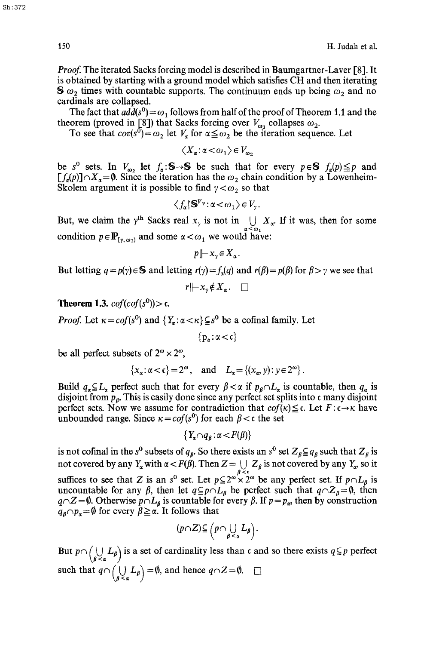*Proof.* The iterated Sacks forcing model is described in Baumgartner-Laver [8]. It is obtained by starting with a ground model which satisfies CH and then iterating  $\mathbf{S} \omega_2$  times with countable supports. The continuum ends up being  $\omega_2$  and no cardinals are collapsed.

The fact that  $a\overline{d}(s^0) = \omega_1$  follows from half of the proof of Theorem 1.1 and the theorem (proved in [8]) that Sacks forcing over  $V_{\omega_2}$  collapses  $\omega_2$ .

To see that  $cov(s^0) = \omega_2$  let  $V_a$  for  $\alpha \leq \omega_2$  be the iteration sequence. Let

 $\langle X_{\alpha}:\alpha<\omega_1\rangle\in V_{\omega_2}$ 

be s<sup>0</sup> sets. In  $V_{\omega_2}$  let  $f_{\alpha}:\mathbb{S}\to\mathbb{S}$  be such that for every  $p\in\mathbb{S}$   $f_{\alpha}(p)\leq p$  and  $[f_{\alpha}(p)] \cap X_{\alpha} = \emptyset$ . Since the iteration has the  $\omega_2$  chain condition by a Lowenheim-Skolem argument it is possible to find  $\gamma < \omega_2$  so that

$$
\langle f_{\alpha} | \mathbf{S}^{V_{\gamma}} : \alpha < \omega_1 \rangle \in V_{\gamma}.
$$

But, we claim the  $\gamma^{\text{th}}$  Sacks real  $x_{\gamma}$  is not in  $\bigcup_{\alpha \leq \omega_1} X_{\alpha}$ . If it was, then for some condition  $p \in \mathbb{P}_{y, \omega_2}$  and some  $\alpha < \omega_1$  we would have:

*pl}-x~X~.* 

But letting  $q = p(y) \in S$  and letting  $r(y) = f_q(q)$  and  $r(\beta) = p(\beta)$  for  $\beta > y$  we see that

 $r \mapsto x_{\nu} \notin X_{\alpha}$ .  $\Box$ 

**Theorem 1.3.**  $cof(cof(s^{0})) > c$ .

*Proof.* Let  $\kappa = cof(s^0)$  and  $\{Y_\alpha : \alpha < \kappa\} \subseteq s^0$  be a cofinal family. Let

 ${p_\alpha:\alpha<\mathfrak{c}}$ 

be all perfect subsets of  $2^{\omega} \times 2^{\omega}$ ,

$$
\{x_{\alpha} : \alpha < \mathfrak{c}\} = 2^{\omega}, \quad \text{and} \quad L_{\alpha} = \{(x_{\alpha}, y) : y \in 2^{\omega}\}.
$$

Build  $q_a \subseteq L_a$  perfect such that for every  $\beta < \alpha$  if  $p_\beta \cap L_a$  is countable, then  $q_a$  is disjoint from  $p_{\beta}$ . This is easily done since any perfect set splits into c many disjoint perfect sets. Now we assume for contradiction that  $cof(\kappa) \leq c$ . Let  $F: c \rightarrow \kappa$  have unbounded range. Since  $\kappa = cof(s^0)$  for each  $\beta < \epsilon$  the set

$$
\{Y_{\alpha}\cap q_{\beta}:\alpha\!<\!F(\beta)\}
$$

is not cofinal in the s<sup>o</sup> subsets of  $q_\beta$ . So there exists an s<sup>o</sup> set  $Z_\beta \subseteq q_\beta$  such that  $Z_\beta$  is not covered by any  $Y_\alpha$  with  $\alpha < F(\beta)$ . Then  $Z = \bigcup_{\beta < \epsilon} Z_\beta$  is not covered by any  $Y_\alpha$ , so it suffices to see that Z is an s<sup>0</sup> set. Let  $p \subseteq 2^\omega \times 2^\omega$  be any perfect set. If  $p \cap L_\beta$  is uncountable for any  $\beta$ , then let  $q \subseteq p \cap L_\beta$  be perfect such that  $q \cap Z_\beta = \emptyset$ , then  $q \cap Z = \emptyset$ . Otherwise  $p \cap L_{\beta}$  is countable for every  $\beta$ . If  $p = p_{\alpha}$ , then by construction  $q_{\beta} \cap p_{\alpha} = \emptyset$  for every  $\beta \geq \alpha$ . It follows that

$$
(p\cap Z)\subseteqq\left(p\cap\bigcup_{\beta\prec\alpha}L_{\beta}\right).
$$

But  $p \cap (\bigcup_{\beta < \alpha} L_{\beta})$  is a set of cardinality less than c and so there exists  $q \subseteq p$  perfect such that  $q \cap (\bigcup_{\beta < \alpha} L_{\beta}) = \emptyset$ , and hence  $q \cap Z = \emptyset$ .  $\square$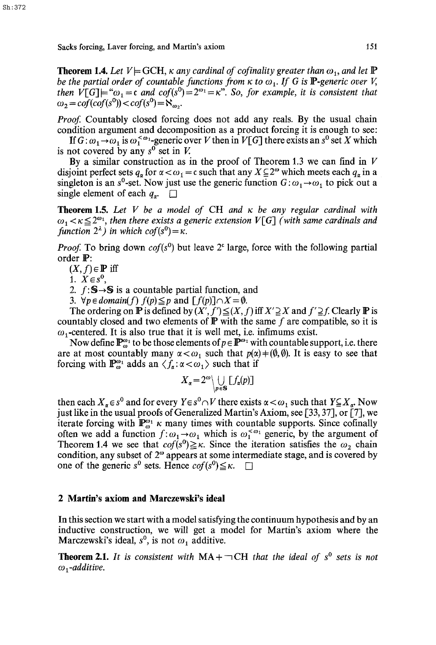**Theorem 1.4.** Let  $V \models GCH$ ,  $\kappa$  any cardinal of cofinality greater than  $\omega_1$ , and let  $\mathbb P$ *be the partial order of countable functions from*  $\kappa$  *to*  $\omega_1$ *. If G is P-generic over V, then*  $V[G] = \omega_1 = c$  *and*  $cof(s^0) = 2^{\omega_1} = \kappa$ . *So, for example, it is consistent that*  $\omega_2 = cof(cof(s^0)) < cof(s^0) = N_{\omega_2}.$ 

*Proof.* Countably closed forcing does not add any reals. By the usual chain condition argument and decomposition as a product forcing it is enough to see:

If  $G: \omega_1 \rightarrow \omega_1$  is  $\omega_1^{< \omega_1}$ -generic over V then in  $V[G]$  there exists an  $s^0$  set X which is not covered by any  $s^0$  set in V.

By a similar construction as in the proof of Theorem 1.3 we can find in  $V$ disjoint perfect sets  $q_{\alpha}$  for  $\alpha < \omega_1 = \epsilon$  such that any  $X \subseteq 2^{\omega}$  which meets each  $q_{\alpha}$  in a singleton is an s<sup>o</sup>-set. Now just use the generic function  $G: \omega_1 \rightarrow \omega_1$  to pick out a single element of each  $q_{\sigma}$ .

**Theorem** 1.5. *Let V be a model of* CH *and tr be any regular cardinal with*   $\omega_1 < \kappa \leq 2^{\omega_1}$ , then there exists a generic extension  $V[G]$  (with same cardinals and *function*  $2^{\lambda}$ *) in which cof(s<sup>0</sup>)* =  $\kappa$ .

*Proof.* To bring down  $cof(s^0)$  but leave 2<sup> $\epsilon$ </sup> large, force with the following partial order  $\mathbb{P}$ :

 $(X, f) \in \mathbb{P}$  iff

1.  $X \in s^0$ ,

2.  $f: S \rightarrow S$  is a countable partial function, and

*3.*  $\forall p \in domain(f)$   $f(p) \leq p$  and  $\lceil f(p) \rceil \cap X = \emptyset$ .

The ordering on  $\mathbb P$  is defined by  $(X', f') \leq (X, f)$  iff  $X' \supseteq X$  and  $f' \supseteq f$ . Clearly  $\mathbb P$  is countably closed and two elements of  $\mathbb P$  with the same f are compatible, so it is  $\omega_1$ -centered. It is also true that it is well met, i.e. infimums exist.

Now define  $\mathbb{P}_{\omega}^{\omega_1}$  to be those elements of  $p \in \mathbb{P}^{\omega_1}$  with countable support, i.e. there are at most countably many  $\alpha < \omega_1$  such that  $p(\alpha) + (\emptyset, \emptyset)$ . It is easy to see that forcing with  $\mathbb{P}_{\omega}^{\omega_1}$  adds an  $\langle f_a: \alpha < \omega_1 \rangle$  such that if

$$
X_{\alpha} = 2^{\omega} \bigcup_{p \in \mathbf{S}} [f_{\alpha}(p)]
$$

then each  $X_{\alpha} \in S^0$  and for every  $Y \in S^0 \cap V$  there exists  $\alpha < \omega_1$ , such that  $Y \subseteq X_{\alpha}$ . Now just like in the usual proofs of Generalized Martin's Axiom, see [33, 37], or  $[7]$ , we iterate forcing with  $\mathbb{P}_{\omega}^{\omega_1} \kappa$  many times with countable supports. Since cofinally often we add a function  $f:\omega_1\rightarrow\omega_1$  which is  $\omega_1^{ $\omega_1}$  generic, by the argument of$ Theorem 1.4 we see that  $cof(s^0) \geq \kappa$ . Since the iteration satisfies the  $\omega_2$  chain condition, any subset of  $2^\omega$  appears at some intermediate stage, and is covered by one of the generic s<sup>0</sup> sets. Hence  $cof(s^0) \leq \kappa$ .

### **2 Martin's axiom and Marczewski's ideal**

In this section we start with a model satisfying the continuum hypothesis and by an inductive construction, we will get a model for Martin's axiom where the Marczewski's ideal,  $s^0$ , is not  $\omega_1$  additive.

**Theorem 2.1.** It is consistent with  $MA + \neg CH$  that the ideal of  $s^0$  sets is not  $\omega_1$ -additive.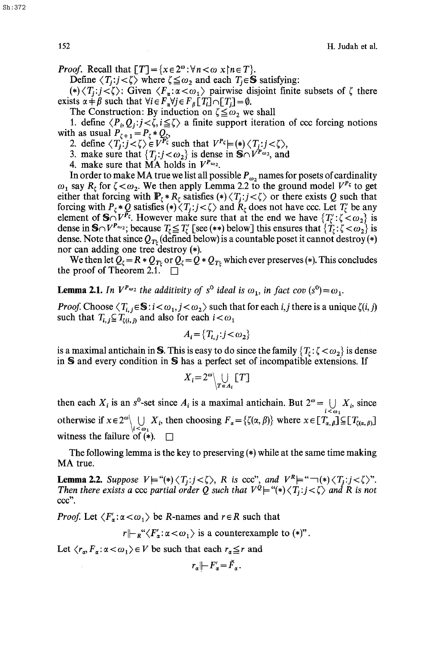*Proof.* Recall that  $[T] = \{x \in 2^{\omega} : \forall n < \omega \}$   $n \in T$ .

Define  $\langle T_i : j \langle \zeta \rangle$  where  $\zeta \leq \omega$ , and each  $T_i \in S$  satisfying:

(\*)  $\langle T_i : j \langle \zeta \rangle$ : Given  $\langle F_{\alpha} : \alpha \langle \omega_1 \rangle$  pairwise disjoint finite subsets of  $\zeta$  there exists  $\alpha + \beta$  such that  $\forall i \in F_{\alpha} \forall j \in F_{\beta}$  [T<sub>i</sub>]  $\cap$  [T<sub>i</sub>] =  $\emptyset$ .

The Construction: By induction on  $\zeta \leq \omega_2$  we shall

1. define  $\langle P_i, Q_i : j \le \zeta, i \le \zeta \rangle$  a finite support iteration of ccc forcing notions with as usual  $P_{\zeta + 1} = P_{\zeta} * Q_{\zeta}$ ,

2. define  $\langle T_j : j < \zeta \rangle \in V^{r_{\zeta}}$  such that  $V^{r_{\zeta}} \models (*) \langle T_j : j < \zeta \rangle$ ,

3. make sure that  $\{T_j : j < \omega_2\}$  is dense in  $\mathbf{S} \cap V^{P_{\omega_2}}$ , and

4. make sure that  $\overline{MA}$  holds in  $V^{P_{\omega_2}}$ .

In order to make MA true we list all possible  $P_{\omega_2}$  names for posets of cardinality  $\omega_1$  say  $R_t$  for  $\zeta < \omega_2$ . We then apply Lemma 2.2 to the ground model  $V^{P_\zeta}$  to get either that forcing with  $\mathbb{P}_{\zeta} * R_{\zeta}$  satisfies  $(*)\langle T_j : j < \zeta \rangle$  or there exists Q such that forcing with  $P_\zeta * Q$  satisfies  $(*)\langle T_j:j\langle \zeta \rangle$  and  $R_\zeta$  does not have ccc. Let  $T'_\zeta$  be any element of  $S \cap V^{\tilde{P}_{\xi}}$ . However make sure that at the end we have  $\{T'_{\xi} : \zeta < \omega_2\}$  is dense in  $\mathbf{S} \cap V^{T_{\infty}}$ ; because  $T_{\zeta} \leq T_{\zeta}$  [see (\*\*) below] this ensures that  $\{T_{\zeta} : \zeta < \omega_2\}$  is dense. Note that since  $Q_{T_{\xi}}$  (defined below) is a countable poset it cannot destroy (\*) nor can adding one tree destroy (\*).

We then let  $Q_{\zeta} = R * Q_{T_{\zeta}}$  or  $Q_{\zeta} = Q * Q_{T_{\zeta}}$  which ever preserves (\*). This concludes the proof of Theorem 2.1.  $\Box$ 

**Lemma 2.1.** *In*  $V^{P_{\omega_2}}$  *the additivity of s<sup>0</sup> ideal is*  $\omega_1$ *, in fact cov*  $(s^0) = \omega_1$ *.* 

*Proof.* Choose  $\langle T_{i,j} \in \mathbb{S} : i \langle \omega_1, j \langle \omega_2 \rangle \rangle$  such that for each *i,j* there is a unique  $\zeta(i, j)$ such that  $T_{i,j} \subseteq T_{\{i,j\}}$  and also for each  $i < \omega_1$ 

$$
A_i = \{T_{i,j} : j < \omega_2\}
$$

is a maximal antichain in S. This is easy to do since the family  $\{T_t: \zeta < \omega_2\}$  is dense in S and every condition in S has a perfect set of incompatible extensions. If

$$
X_i = 2^{\omega} \bigcup_{T \in A_i} [T]
$$

then each  $X_i$  is an s<sup>o</sup>-set since  $A_i$  is a maximal antichain. But  $2^{\omega} = \bigcup_{i \leq \omega_i} X_i$ , since otherwise if  $x \in 2^{\omega} \setminus \bigcup_{i < \omega_1} X_i$ , then choosing  $F_{\alpha} = \{ \zeta(\alpha, \beta) \}$  where  $x \in [T_{\alpha, \beta}] \subseteq [T_{\zeta(\alpha, \beta)}]$ witness the failure of  $(*)$ .

The following lemma is the key to preserving  $(*)$  while at the same time making MA true.

**Lemma 2.2.** *Suppose*  $V = ((*) \langle T_i : j \langle \zeta \rangle), R$  *is ccc*", *and*  $V^k = ((*) \langle T_i : j \langle \zeta \rangle)$ ". *Then there exists a ccc partial order Q such that*  $V^{\mathcal{Q}}$  *= "(\*)*  $\langle T_i : j \langle \zeta \rangle$  *and R is not* ccc".

*Proof.* Let  $\langle F'_\alpha : \alpha < \omega_1 \rangle$  be R-names and  $r \in R$  such that

 $r \Vdash_{\mathbb{R}} \langle F'_\alpha : \alpha < \omega_1 \rangle$  is a counterexample to (\*)".

Let  $\langle r_a, F_a: \alpha < \omega_1 \rangle \in V$  be such that each  $r_a \leq r$  and

$$
r_{\alpha} \left| \left| -F_{\alpha}' - \check{F}_{\alpha} \right| \right|
$$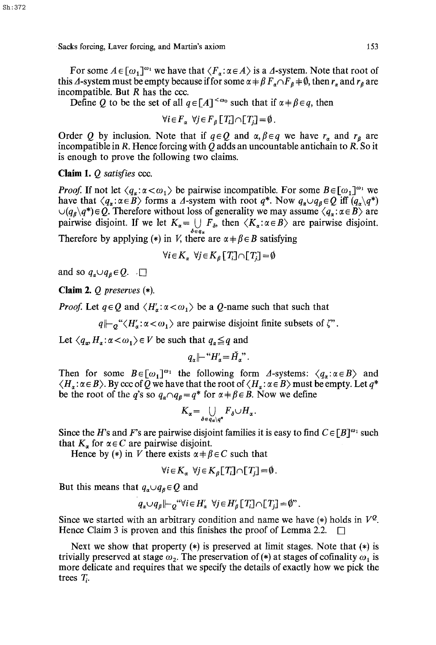For some  $A \in [\omega_1]^{m_1}$  we have that  $\langle F_{\alpha} : \alpha \in A \rangle$  is a  $\Delta$ -system. Note that root of this  $\Delta$ -system must be empty because if for some  $\alpha \neq \beta F_a \cap F_a \neq \emptyset$ , then  $r_a$  and  $r_g$  are incompatible. But  $R$  has the ccc.

Define Q to be the set of all  $q \in [A]^{<\omega_0}$  such that if  $\alpha + \beta \in q$ , then

$$
\forall i \in F_{\alpha} \ \forall j \in F_{\beta} \left[ T_i \right] \cap \left[ T_j \right] = \emptyset \, .
$$

Order Q by inclusion. Note that if  $q \in Q$  and  $\alpha, \beta \in q$  we have  $r_a$  and  $r_b$  are incompatible in R. Hence forcing with Q adds an uncountable antichain to R. So it is enough to prove the following two claims.

Claim *1. Q satisfies* ccc.

*Proof.* If not let  $\langle q_{\alpha} : \alpha < \omega_1 \rangle$  be pairwise incompatible. For some  $B \in [\omega_1]^{\omega_1}$  we have that  $\langle q_{\alpha} : \alpha \in \mathcal{B} \rangle$  forms a  $\Delta$ -system with root  $q^*$ . Now  $q_{\alpha} \cup q_{\beta} \in Q$  iff  $(q_{\alpha} \setminus q^*)$  $\bigcup (q_{\beta} \setminus q^*) \in Q$ . Therefore without loss of generality we may assume  $\langle q_{\alpha} : \alpha \in B \rangle$  are pairwise disjoint. If we let  $K_{\alpha} = \bigcup_{\delta \in q_{\alpha}} F_{\delta}$ , then  $\langle K_{\alpha} : \alpha \in B \rangle$  are pairwise disjoint. Therefore by applying (\*) in V, there are  $\alpha + \beta \in B$  satisfying

$$
\forall i \in K_{\alpha} \ \forall j \in K_{\beta} [T_i] \cap [T_j] = \emptyset
$$

and so  $q_a \cup q_b \in Q$ .  $\square$ 

Claim *2. Q preserves (\*).* 

*Proof.* Let  $q \in Q$  and  $\langle H'_\alpha : \alpha < \omega_1 \rangle$  be a Q-name such that such that

 $q \nightharpoonup_{q} \negthinspace \cdot \negthinspace \langle H'_a: \alpha \negthinspace < \negthinspace \cdot \negthinspace a_1 \rangle$  are pairwise disjoint finite subsets of  $\varphi$ .

Let  $\langle q_{\alpha}, H_{\alpha} : \alpha < \omega_1 \rangle \in V$  be such that  $q_{\alpha} \leq q$  and

 $q_{\sigma}$  |- " $H'_{\sigma}$  =  $\check{H}$ ".

Then for some  $B \in [\omega_1]^{\omega_1}$  the following form A-systems:  $\langle q_{\alpha} : \alpha \in B \rangle$  and  $\langle H_{\alpha}: \alpha \in B \rangle$ . By ccc of  $\overline{Q}$  we have that the root of  $\langle H_{\alpha}: \alpha \in B \rangle$  must be empty. Let  $q^*$ be the root of the q's so  $q_a \cap q_b = q^*$  for  $\alpha + \beta \in B$ . Now we define

$$
K_{\alpha} = \bigcup_{\delta \in q_{\alpha} \setminus q^*} F_{\delta} \cup H_{\alpha}.
$$

Since the H's and F's are pairwise disjoint families it is easy to find  $C \in [B]^{a_1}$  such that  $K_n$  for  $\alpha \in C$  are pairwise disjoint.

Hence by (\*) in V there exists  $\alpha \neq \beta \in C$  such that

$$
\forall i \in K_{\alpha} \ \forall j \in K_{\beta} [T_i] \cap [T_i] = \emptyset.
$$

But this means that  $q_a \cup q_b \in Q$  and

$$
q_{\alpha} \cup q_{\beta} \left| \left| -\rho^{(1)} \forall i \in H'_{\alpha} \right| \forall j \in H'_{\beta} \left[ T_{i} \right] \cap \left[ T_{j} \right] = \emptyset^{n}.
$$

Since we started with an arbitrary condition and name we have  $(*)$  holds in  $V^{\mathcal{Q}}$ . Hence Claim 3 is proven and this finishes the proof of Lemma 2.2.

Next we show that property  $(*)$  is preserved at limit stages. Note that  $(*)$  is trivially preserved at stage  $\omega_2$ . The preservation of (\*) at stages of cofinality  $\omega_1$  is more delicate and requires that we specify the details of exactly how we pick the trees  $T_i$ .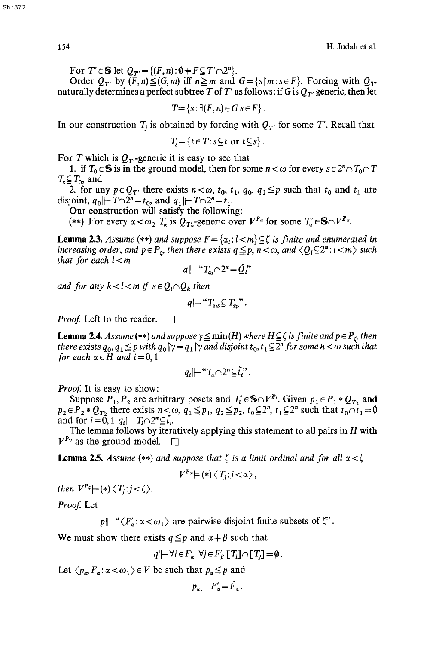For  $T' \in \mathbb{S}$  let  $Q_{T'} = \{(F, n): \emptyset \neq F \subseteq T' \cap 2^n\}.$ 

Order  $Q_{T'}$  by  $(F, n) \leq (G, m)$  iff  $n \geq m$  and  $G = \{s \mid m : s \in F\}$ . Forcing with  $Q_{T'}$ naturally determines a perfect subtree T of T' as follows: if G is  $Q_T$  generic, then let

 $T = \{s : \exists (F, n) \in G \, s \in F\}$ .

In our construction  $T_i$  is obtained by forcing with  $Q_{T'}$  for some T'. Recall that

 $T<sub>s</sub> = {t \in T : s \subseteq t \text{ or } t \subseteq s}.$ 

For T which is  $Q_T$ -generic it is easy to see that

1. if  $T_0 \in \mathbb{S}$  is in the ground model, then for some  $n < \omega$  for every  $s \in 2^n \cap T_0 \cap T$  $T_s \subseteq T_0$ , and

2. for any  $p \in Q_{T'}$  there exists  $n < \omega$ ,  $t_0$ ,  $t_1$ ,  $q_0$ ,  $q_1 \leq p$  such that  $t_0$  and  $t_1$  are disjoint,  $q_0 \parallel T \cap 2^n = t_0$ , and  $q_1 \parallel T \cap 2^n = t_1$ .

Our construction will satisfy the following:

(\*\*) For every  $\alpha < \omega_2$   $T_{\alpha}$  is  $Q_{T_{\alpha}}$ -generic over  $V^{P_{\alpha}}$  for some  $T_{\alpha}' \in \mathbb{S} \cap V^{P_{\alpha}}$ .

**Lemma 2.3.** *Assume* (\*\*) *and suppose*  $F = \{\alpha_i : l < m\} \subseteq \zeta$  *is finite and enumerated in increasing order, and*  $p \in P_t$ *, then there exists*  $q \leq p$ *,*  $n < \omega$ *, and*  $\langle Q_l \subseteq 2^n : l < m \rangle$  *such that for each l < m* 

$$
q \left| \cdots T_{\alpha_l} \cap 2^n = \check{Q}_l \right|
$$

*and for any*  $k < l < m$  if  $s \in Q_l \cap Q_k$  then

$$
q\,\left|\left|\left|\right|^{\alpha}T_{\alpha_{l}s}\right|\leq T_{\alpha_{k}}\right|^{n}.
$$

*Proof.* Left to the reader.  $\Box$ 

**Lemma 2.4.** *Assume* (\*\*) *and suppose*  $\gamma \leq \min(H)$  *where*  $H \subseteq \zeta$  *is finite and*  $p \in P_t$ *, then there exists*  $q_0, q_1 \leq p$  with  $q_0 \upharpoonright \gamma = q_1 \upharpoonright \gamma$  and disjoint  $t_0, t_1 \subseteq 2^n$  for some  $n < \omega$  such that *for each*  $\alpha \in H$  *and*  $i = 0, 1$ 

$$
q_i\,\left|\,\cdots\,T_{\alpha}\cap 2^n\,\subseteq\,\check{\!t}_i^{\,\cdot\,\cdot\,}.
$$

*Proof.* It is easy to show:

Suppose  $P_1, P_2$  are arbitrary posets and  $T_i \in S \cap V^{P_i}$ . Given  $p_1 \in P_1 * Q_{T_1}$  and  $p_2 \in P_2 * Q_{T_2}$  there exists  $n < \omega$ ,  $q_1 \leq p_1$ ,  $q_2 \leq p_2$ ,  $t_0 \subseteq 2^n$ ,  $t_1 \subseteq 2^n$  such that  $t_0 \cap t_1 = \emptyset$ and for i=0, 1 *qil~-* T/n2"\_\_\_\_ {/.

The lemma follows by iteratively applying this statement to all pairs in  $H$  with  $V^{P_{\gamma}}$  as the ground model.  $\square$ 

**Lemma 2.5.** Assume  $(**)$  and suppose that  $\zeta$  is a limit ordinal and for all  $\alpha < \zeta$ 

$$
V^{P_{\alpha}} \models (*) \langle T_j : j < \alpha \rangle,
$$

*then*  $V^{P_\zeta}$   $\models$  (\*)  $\langle T_i : j < \zeta \rangle$ .

Proof. Let

 $p \mapsto \langle F'_\sigma: \alpha < \omega_1 \rangle$  are pairwise disjoint finite subsets of  $\zeta$ ".

We must show there exists  $q \leq p$  and  $\alpha + \beta$  such that

$$
q \left| \vdash \forall i \in F_{\alpha} \ \forall j \in F_{\beta} \left[ T_i \right] \cap \left[ T_j \right] = \emptyset.
$$

Let  $\langle p_{n}, F_{n} : \alpha < \omega_{1} \rangle \in V$  be such that  $p_{n} \leq p$  and

$$
p_{\alpha} \left| -F_{\alpha}' = \bar{F}_{\alpha} \right|.
$$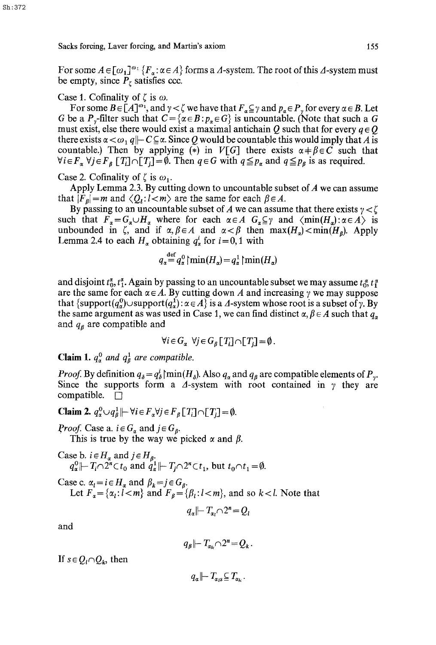Sh:372

For some  $A \in [\omega_1]^{\omega_1} \{F_\alpha : \alpha \in A\}$  forms a  $\Delta$ -system. The root of this  $\Delta$ -system must be empty, since  $P<sub>\zeta</sub>$  satisfies ccc.

Case 1. Cofinality of  $\zeta$  is  $\omega$ .

For some  $B \in [A]^{\omega_1}$ , and  $\gamma < \zeta$  we have that  $F_\alpha \subseteq \gamma$  and  $p_\alpha \in P_\gamma$  for every  $\alpha \in B$ . Let G be a P<sub>y</sub>-filter such that  $C = \{ \alpha \in B : p_{\alpha} \in G \}$  is uncountable. (Note that such a G must exist, else there would exist a maximal antichain Q such that for every  $q \in Q$ there exists  $\alpha < \omega_1 q \mid C \subseteq \alpha$ . Since Q would be countable this would imply that A is countable.) Then by applying (\*) in *V*[G] there exists  $\alpha + \beta \in \hat{C}$  such that  $\forall i \in F_{\alpha}$   $\forall j \in F_{\beta}$  [T<sub>i</sub>] $\cap$ [T<sub>i</sub>]= $\emptyset$ . Then  $q \in G$  with  $q \leq p_{\alpha}$  and  $q \leq p_{\beta}$  is as required.

Case 2. Cofinality of  $\zeta$  is  $\omega_1$ .

Apply Lemma 2.3. By cutting down to uncountable subset of  $A$  we can assume that  $|F_{\beta}| = m$  and  $\langle Q_{\iota}: l \langle m \rangle$  are the same for each  $\beta \in A$ .

By passing to an uncountable subset of A we can assume that there exists  $\gamma < \zeta$ such that  $F_{\alpha} = G_{\alpha} \cup H_{\alpha}$  where for each  $\alpha \in A$   $G_{\alpha} \subseteq \gamma$  and  $\langle \min(H_{\alpha}) : \alpha \in A \rangle$  is unbounded in  $\zeta$ , and if  $\alpha, \beta \in A$  and  $\alpha < \beta$  then  $\max(H_{\alpha}) < \min(H_{\beta})$ . Apply Lemma 2.4 to each  $H_a$  obtaining  $q_a^i$  for  $i = 0, 1$  with

$$
q_{\alpha}^{\text{det}} = q_{\alpha}^{0} \mid \min(H_{\alpha}) = q_{\alpha}^{1} \mid \min(H_{\alpha})
$$

and disjoint  $t_0^{\alpha}$ ,  $t_1^{\alpha}$ . Again by passing to an uncountable subset we may assume  $t_0^{\alpha}$ ,  $t_1^{\alpha}$ are the same for each  $\alpha \in A$ . By cutting down A and increasing  $\gamma$  we may suppose that  $\{\text{support}(q^0_\alpha) \cup \text{support}(q^1_\alpha) : \alpha \in A\}$  is a  $\Delta$ -system whose root is a subset of  $\gamma$ . By the same argument as was used in Case 1, we can find distinct  $\alpha, \beta \in A$  such that  $q_{\alpha}$ and  $q_{\beta}$  are compatible and

$$
\forall i \in G_{\alpha} \ \forall j \in G_{\beta} [T_i] \cap [T_j] = \emptyset.
$$

**Claim 1.**  $q_a^0$  and  $q_b^1$  are compatible.

*Proof.* By definition  $q_{\delta} = q_{\delta}^{i}$  [min(H<sub> $_{\delta}$ </sub>). Also  $q_{\alpha}$  and  $q_{\beta}$  are compatible elements of P<sub>y</sub>. Since the supports form a  $\Delta$ -system with root contained in  $\gamma$  they are compatible.  $\Box$ 

Claim 2.  $q_{\alpha}^0 \cup q_{\beta}^1 \left| \right| - \forall i \in F_{\alpha} \forall j \in F_{\beta}$  [T<sub>i</sub>]  $\cap$  [T<sub>i</sub>] = 0.

*Proof.* Case a.  $i \in G_{\alpha}$  and  $j \in G_{\beta}$ .

This is true by the way we picked  $\alpha$  and  $\beta$ .

Case b. 
$$
i \in H_\alpha
$$
 and  $j \in H_\beta$ .  
\n $q_\alpha^0 \left| \left| \right| T_i \cap 2^n \subset t_0$  and  $q_\alpha^1 \left| \right| \left| \right| T_j \cap 2^n \subset t_1$ , but  $t_0 \cap t_1 = \emptyset$ .

Case c.  $\alpha_l = i \in H_\alpha$  and  $\beta_k = j \in G_\beta$ . Let  $F_a = {\alpha_i : l < m}$  and  $F_a = {\beta_i : l < m}$ , and so k < l. Note that

$$
q_{\alpha} \left| \left| \right| T_{\alpha} \cap 2^{n} = Q_{l}
$$

and

$$
q_{\beta} \left| -T_{\alpha_k} \cap 2^n = Q_k \right|.
$$

If  $s \in Q_i \cap Q_k$ , then

 $q_a \left\| -T_{a,s} \subseteq T_{a} \right\|$ .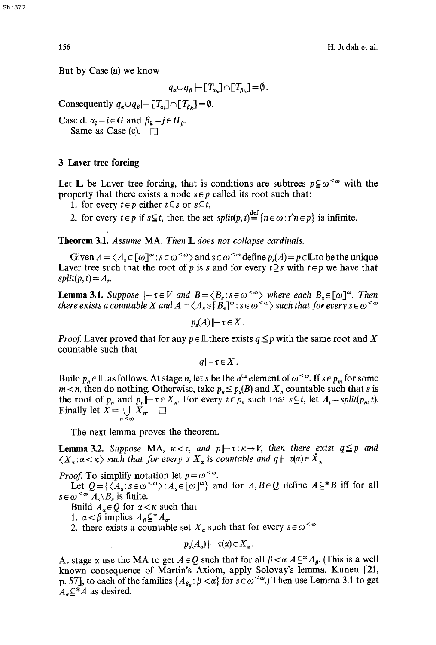But by Case (a) we know

$$
q_{\alpha}\cup q_{\beta}\vert \vert \vert \Gamma_{\alpha_{k}}\rceil \cap \lbrack T_{\beta_{k}}\rbrack =\emptyset.
$$

Consequently  $q_{\alpha} \cup q_{\beta} \left| \left| -[T_{\alpha}]\cap [T_{\beta}]\right| = \emptyset$ .

Case d.  $\alpha_l = i \in G$  and  $\beta_k = j \in H_{\beta}$ . Same as Case (c).  $\Box$ 

### **3 Laver tree forcing**

Let  $\mathbb L$  be Laver tree forcing, that is conditions are subtrees  $p \subseteq \omega^{\leq \omega}$  with the property that there exists a node  $s \in p$  called its root such that:

- 1. for every  $t \in p$  either  $t \subseteq s$  or  $s \subseteq t$ ,
- 2. for every  $t \in p$  if  $s \subseteq t$ , then the set  $split(p, t) = \{n \in \omega : t^n \in p\}$  is infinite.

**Theorem 3.1.** *Assume* MA. *Then* **L** does not collapse cardinals.

Given  $A = \langle A_s \in [\omega]^\omega : s \in \omega^{\leq \omega} \rangle$  and  $s \in \omega^{\leq \omega}$  define  $p_s(A) = p \in \mathbb{L}$  to be the unique Laver tree such that the root of p is s and for every  $t \geq s$  with  $t \in p$  we have that  $split(p, t) = A_t$ .

**Lemma 3.1.** *Suppose*  $\|\text{-}\tau \in V$  *and*  $B = \langle B_s : s \in \omega^{\leq \omega} \rangle$  *where each*  $B_s \in [\omega]^{\omega}$ . *Then there exists a countable X and*  $A = \langle A_s \in [B_s]^{\omega} : s \in \omega^{\langle \omega \rangle}$  *such that for every*  $s \in \omega^{\langle \omega \rangle}$ 

$$
p_s(A) \left| \vdash \tau \in X \right|.
$$

*Proof.* Laver proved that for any  $p \in \mathbb{L}$  there exists  $q \leq p$  with the same root and X countable such that

$$
q\,\|\!\!-\!\!\tau\!\in\!X\,.
$$

Build  $p_n \in \mathbb{L}$  as follows. At stage n, let s be the n<sup>th</sup> element of  $\omega^{\lt \omega}$ . If  $s \in p_m$  for some  $m < n$ , then do nothing. Otherwise, take  $p_n \leq p_s(B)$  and  $X_n$  countable such that s is the root of  $p_n$  and  $p_n$   $\mid$   $\tau \in X_n$ . For every  $t \in p_n$  such that  $s \subseteq t$ , let  $A_t = split(p_n, t)$ . Finally let  $X = \bigcup_{n \leq \omega} X_n$ .

The next lemma proves the theorem.

**Lemma 3.2.** Suppose MA,  $\kappa < c$ , and  $p \mid \neg \tau : \kappa \rightarrow V$ , then there exist  $q \leq p$  and  $\langle X_{\alpha}:\alpha<\kappa\rangle$  *such that for every*  $\alpha X_{\alpha}$  *is countable and*  $q\rightarrow \tau(\alpha)\in X_{\alpha}$ .

*Proof.* To simplify notation let  $p = \omega^{\lt \omega}$ .

Let  $Q = \{ \langle A_s : s \in \omega^{\leq \omega} \rangle : A_s \in [\omega]^{\omega} \}$  and for  $A, B \in Q$  define  $A \subseteq B$  iff for all  $s \in \omega^{<\omega} A_s \backslash B_s$  is finite.

Build  $A_{\alpha} \in \mathcal{Q}$  for  $\alpha < \kappa$  such that

1.  $\alpha < \beta$  implies  $A_{\beta} \subseteq^* A_{\alpha}$ .

2. there exists a countable set  $X_{\alpha}$  such that for every  $s \in \omega^{\leq \omega}$ 

$$
p_s(A_\alpha)\!\!\mid\!\!-\tau(\alpha)\!\in\!X_\alpha.
$$

At stage  $\alpha$  use the MA to get  $A \in \mathcal{Q}$  such that for all  $\beta < \alpha A \subseteq^* A_{\beta}$ . (This is a well known consequence of Martin's Axiom, apply Solovay's lemma, Kunen [21, p. 57], to each of the families  $\{A_{\beta_s} : \beta < \alpha\}$  for  $s \in \omega^{\leq \omega}$ . Then use Lemma 3.1 to get  $A_{\alpha} \subseteq^* A$  as desired.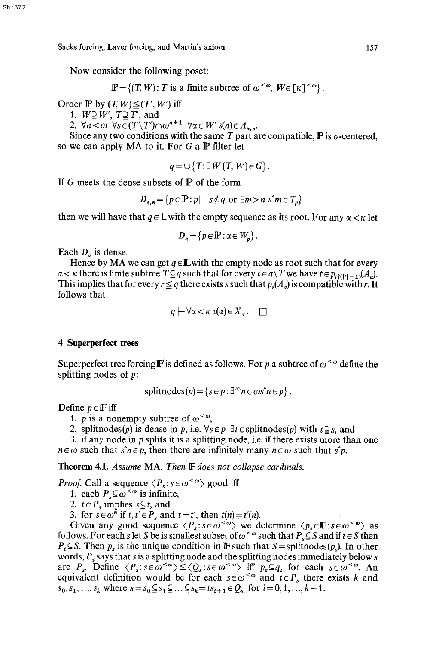Now consider the following poset:

$$
\mathbb{P} = \{(T, W): T \text{ is a finite subtree of } \omega^{<\omega}, W \in [\kappa]^{<\omega}\}.
$$

Order  $\mathbb P$  by  $(T, W) \leq (T', W')$  iff

1.  $W \supseteq W'$ ,  $T \supseteq T'$ , and

2.  $\forall n \leq \omega \ \forall s \in (T \setminus T') \cap \omega^{n+1} \ \forall \alpha \in W' \ s(n) \in A_{n}$ .

Since any two conditions with the same T part are compatible,  $\bf{P}$  is  $\sigma$ -centered, so we can apply MA to it. For G a P-filter let

$$
q = \cup \{ T : \exists W(T, W) \in G \}.
$$

If G meets the dense subsets of  $\mathbb P$  of the form

$$
D_{s,n} = \{ p \in \mathbb{P} : p \mid s \notin q \text{ or } \exists m > n \text{ s}^m \in T_p \}
$$

then we will have that  $q \in L$  with the empty sequence as its root. For any  $\alpha < \kappa$  let

$$
D_{\alpha} = \{ p \in \mathbb{P} : \alpha \in W_p \}.
$$

Each  $D_{\alpha}$  is dense.

Hence by MA we can get  $q \in \mathbb{L}$  with the empty node as root such that for every  $\alpha < \kappa$  there is finite subtree  $T \subseteq q$  such that for every  $t \in q \setminus T$  we have  $t \in p_{t}(t-1)(A_q)$ . This implies that for every  $r \leq q$  there exists s such that  $p_s(A_q)$  is compatible with r. It follows that

$$
q \left| \vdash \forall \alpha < \kappa \, \tau(\alpha) \in X_{\alpha} \, . \quad \Box
$$

# **4 Superperfect trees**

Superperfect tree forcing F is defined as follows. For p a subtree of  $\omega^{\lt}\omega$  define the splitting nodes of  $p$ :

splitnodes(
$$
p
$$
) = { $s \in p : \exists^{\infty} n \in \omega s \land n \in p$  }.

Define  $p \in \mathbb{F}$  iff

1. *p* is a nonempty subtree of  $\omega^{\lt}\omega$ ,

2. splitnodes(p) is dense in p, i.e.  $\forall s \in p$   $\exists t \in \text{splitnodes}(p)$  with  $t \supseteq s$ , and

3. if any node in  $p$  splits it is a splitting node, i.e. if there exists more than one  $n \in \omega$  such that  $\hat{s} n \in p$ , then there are infinitely many  $n \in \omega$  such that  $\hat{s} p$ .

Theorem 4.1. *Assume* MA. *Then IF does not collapse cardinals.* 

*Proof.* Call a sequence  $\langle P_s : s \in \omega^{\langle \omega \rangle} \rangle$  good iff

1. each  $P_s \subseteq \omega^{\lt \omega}$  is infinite,

2.  $t \in P_s$  implies  $s \subsetneq t$ , and

3. for  $s \in \omega^n$  if  $t, t' \in P_s$  and  $t \neq t'$ , then  $t(n) \neq t'(n)$ .

Given any good sequence  $\langle P_s$ :  $s \in \omega^{\langle \omega \rangle}$  we determine  $\langle p_s \in \mathbb{F} : s \in \omega^{\langle \omega \rangle}$  as follows. For each s let S be is smallest subset of  $\omega^{\lt}\omega$  such that  $P_s \subseteq S$  and if  $t \in S$  then  $P_t \subseteq S$ . Then  $p_s$  is the unique condition in F such that  $S = \text{splitnodes}(p_s)$ . In other words,  $P_s$  says that s is a splitting node and the splitting nodes immediately below s are  $P_s$ . Define  $\langle P_s : s \in \omega^{< \omega} \rangle \leq \langle Q_s : s \in \omega^{< \omega} \rangle$  iff  $p_s \subseteq q_s$  for each  $s \in \omega^{< \omega}$ . An equivalent definition would be for each  $s \in \omega^{\lt \omega}$  and  $t \in P_s$  there exists k and  $s_0, s_1, ..., s_k$  where  $s = s_0 \subseteq s_1 \subseteq ... \subseteq s_k = ts_{i+1} \in Q_{s_i}$  for  $i = 0, 1, ..., k-1$ .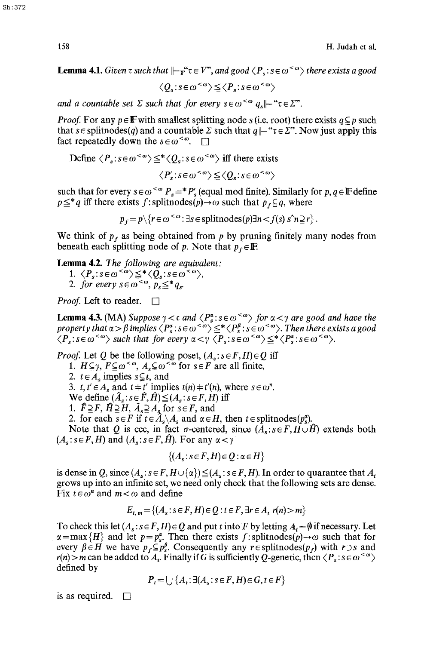**Lemma 4.1.** *Given*  $\tau$  *such that*  $\|\text{--}_F^{\omega}\tau \in V$ <sup>n</sup>, *and* good  $\langle P_s : s \in \omega^{\langle \omega \rangle}$  *there exists a good* 

$$
\langle Q_s \colon s \in \omega^{<\omega} \rangle \leq \langle P_s \colon s \in \omega^{<\omega} \rangle
$$

*and a countable set*  $\Sigma$  *such that for every s* $\epsilon \omega^{\leq \omega} q_{s}$   $\vdash$  " $\tau \in \Sigma$ ".

*Proof.* For any  $p \in \mathbb{F}$  with smallest splitting node s (i.e. root) there exists  $q \subseteq p$  such that  $s \in \text{splitnodes}(q)$  and a countable  $\Sigma$  such that  $q \mid \vdash \text{``}\tau \in \Sigma \text{''}$ . Now just apply this fact repeatedly down the  $s \in \omega^{\leq \omega}$ .

Define 
$$
\langle P_s : s \in \omega^{<\omega} \rangle \leq^* \langle Q_s : s \in \omega^{<\omega} \rangle
$$
 iff there exists

 $\langle P'_s: s \in \omega^{<\omega} \rangle \leq \langle Q_s: s \in \omega^{<\omega} \rangle$ 

such that for every  $s \in \omega^{\leq \omega} P_s = P'_s$  (equal mod finite). Similarly for  $p, q \in \mathbb{F}$  define  $p \leq a$  iff there exists f: splitnodes(p) $\rightarrow \omega$  such that  $p_f \subseteq q$ , where

$$
p_f = p \setminus \{r \in \omega^{< \omega} : \exists s \in \text{splitnodes}(p) \exists n < f(s) \land n \geq r\}.
$$

We think of  $p_f$  as being obtained from p by pruning finitely many nodes from beneath each splitting node of p. Note that  $p_f \in \mathbb{F}$ .

Lemma 4.2. *The following are equivalent:* 

1.  $\langle P_s : s \in \omega^{<\omega} \rangle \leq^* \langle Q_s : s \in \omega^{<\omega} \rangle$ 2. *for every*  $s \in \omega^{\infty}$ ,  $p_s \leq^* q_s$ .

*Proof.* Left to reader.  $\Box$ 

**Lemma 4.3.** (MA) *Suppose*  $\gamma < c$  *and*  $\langle P_s^x : s \in \omega^{0} \rangle$  *for*  $\alpha < \gamma$  *are good and have the property that*  $\alpha$  *>*  $\beta$  *implies*  $\langle P^{\alpha}_s : s \in \omega^{\infty} \rangle \leq^* \langle P^{\rho}_s : s \in \omega^{\infty} \rangle$ . Then there exists a good  $\langle P_s : s \in \omega^{\leq \omega} \rangle$  such that for every  $\alpha < \gamma \langle P_s : s \in \omega^{\leq \omega} \rangle \leq^* \langle P_s : s \in \omega^{\leq \omega} \rangle$ .

*Proof.* Let Q be the following poset,  $(A_s : s \in F, H) \in Q$  iff 1.  $H \subseteq \gamma$ ,  $F \subseteq \omega^{\lt \omega}$ ,  $A_s \subseteq \omega^{\lt \omega}$  for  $s \in F$  are all finite, 2.  $t \in A_s$  implies  $s \subsetneq t$ , and 3.  $t, t' \in A_s$  and  $t \neq t'$  implies  $t(n) \neq t'(n)$ , where  $s \in \omega^n$ . We define  $(\hat{A}_s: s \in \hat{F}, \hat{H}) \leq (A_s: s \in F, H)$  iff 1.  $\widehat{F} \supseteq F$ ,  $\widehat{H} \supseteq H$ ,  $\widehat{A}_s \supseteq A_s$  for  $s \in F$ , and 2. for each  $s \in F$  if  $\vec{t} \in \hat{A}_s \backslash A_s$  and  $\alpha \in H$ , then  $t \in \text{splitnodes}(p_s^{\alpha})$ . Note that Q is ecc, in fact  $\sigma$ -centered, since  $(A_s : s \in F, H \cup \hat{H})$  extends both  $(A_s: s \in F, H)$  and  $(A_s: s \in F, \hat{H})$ . For any  $\alpha < \gamma$ 

$$
\{(A_s : s \in F, H) \in Q : \alpha \in H\}
$$

is dense in Q, since  $(A_s: s \in F, H \cup \{\alpha\}) \leq (A_s: s \in F, H)$ . In order to quarantee that  $A_t$ grows up into an infinite set, we need only check that the following sets are dense. Fix  $t \in \omega^n$  and  $m < \omega$  and define

$$
E_{t,m} = \{(A_s : s \in F, H) \in Q : t \in F, \exists r \in A_t \ r(n) > m\}
$$

To check this let  $(A_s : s \in F, H) \in Q$  and put t into F by letting  $A_t = \emptyset$  if necessary. Let  $\alpha = \max\{H\}$  and let  $p = p_s^{\alpha}$ . Then there exists f: splitnodes(p) $\rightarrow \omega$  such that for every  $\beta \in H$  we have  $p_f \subseteq p_s^{\beta}$ . Consequently any r  $\epsilon$  splitnodes( $p_f$ ) with r  $\beta$  s and  $r(n) > m$  can be added to  $\overline{A}_i$ . Finally if G is sufficiently Q-generic, then  $\langle P_s : s \in \omega^{\leq \omega} \rangle$ defined by

 $P_{t} = \{ \} \{ A_{t} : \exists (A_{s}: s \in F, H) \in G, t \in F \}$ 

is as required.  $\Box$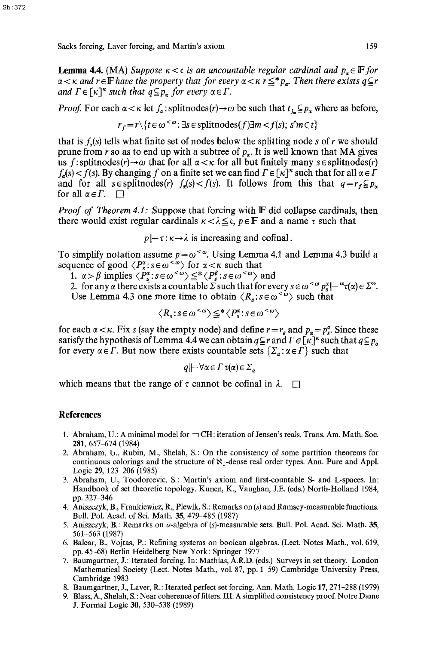**Lemma 4.4.** (MA) *Suppose*  $\kappa < c$  is an uncountable regular cardinal and  $p_{\alpha} \in \mathbb{F}$  for  $\alpha$   $<$   $\kappa$  and  $r$   $\in$   $\mathbb F$  have the property that for every  $\alpha$   $<$   $\kappa$   $r$   $\leq$   $^*$   $p_x$ . Then there exists  $q$   $\subseteq$   $r$ *and*  $\Gamma \in [\kappa]^{\kappa}$  *such that*  $q \subseteq p_{\kappa}$  for every  $\alpha \in \Gamma$ .

*Proof.* For each  $\alpha < \kappa$  let  $f_{\alpha}$ : splitnodes(r)  $\rightarrow \omega$  be such that  $t_{j_{\alpha}} \subseteq p_{\alpha}$  where as before,

$$
r_f = r \setminus \{t \in \omega^{<\omega} : \exists s \in \text{splitnodes}(f) \exists m < f(s); \ s\hat{m} \subset t\}
$$

that is  $f_{\alpha}(s)$  tells what finite set of nodes below the splitting node s of r we should prune from r so as to end up with a subtree of  $p_a$ . It is well known that MA gives us f: splitnodes(r) $\rightarrow \omega$  that for all  $\alpha < \kappa$  for all but finitely many s  $\epsilon$  splitnodes(r)  $f_{\alpha}(s) < f(s)$ . By changing f on a finite set we can find  $\Gamma \in [\kappa]^{\kappa}$  such that for all  $\alpha \in \Gamma$ and for all  $s \in \text{splitnodes}(r)$   $f_a(s) < f(s)$ . It follows from this that  $q = r_f \subseteq p_a$ for all  $\alpha \in \Gamma$ .  $\Box$ 

*Proof of Theorem 4.1:* Suppose that forcing with **F** did collapse cardinals, then there would exist regular cardinals  $\kappa < \lambda \leq c$ ,  $p \in \mathbb{F}$  and a name  $\tau$  such that

 $p \mapsto \tau : \kappa \to \lambda$  is increasing and cofinal.

To simplify notation assume  $p=\omega^{\langle\omega\rangle}$ . Using Lemma 4.1 and Lemma 4.3 build a sequence of good  $\langle P_s^{\alpha}: s \in \omega^{\infty} \rangle$  for  $\alpha < \kappa$  such that

1.  $\alpha > \beta$  implies  $\langle P_s^{\alpha} : s \in \omega^{\langle \alpha \rangle} \leq^* \langle P_s^{\beta} : s \in \omega^{\langle \alpha \rangle} \rangle$  and

2. for any  $\alpha$  there exists a countable  $\Sigma$  such that for every  $s \in \omega^{\lt \omega} p_s^* \mid \vdash``\tau(\alpha) \in \Sigma"$ . Use Lemma 4.3 one more time to obtain  $\langle R_s : s \in \omega^{\langle \infty \rangle}$  such that

$$
\langle R_s : s \in \omega^{<\omega} \rangle \leq^* \langle P_s^{\alpha} : s \in \omega^{<\omega} \rangle
$$

for each  $\alpha < \kappa$ . Fix s (say the empty node) and define  $r = r_s$  and  $p_\alpha = p_s^\alpha$ . Since these satisfy the hypothesis of Lemma 4.4 we can obtain  $q \subseteq r$  and  $\Gamma \in [\kappa]^k$  such that  $q \subseteq p_q$ for every  $\alpha \in \Gamma$ . But now there exists countable sets  $\{\Sigma_{\alpha} : \alpha \in \Gamma\}$  such that

$$
q \left\| \negthinspace\negthinspace \negthinspace \mid \negthinspace \forall \alpha \in \Gamma \, \tau(\alpha) \in \Sigma_{\alpha}
$$

which means that the range of  $\tau$  cannot be cofinal in  $\lambda$ .  $\Box$ 

## **References**

- 1. Abraham, U.: A minimal model for  $\neg$  CH: iteration of Jensen's reals. Trans. Am. Math. Soc. 281, 657-674 (1984)
- 2. Abraham, U,, Rubin, M., Shelah, S.: On the consistency of some partition theorems for continuous colorings and the structure of  $\aleph_1$ -dense real order types. Ann. Pure and Appl. Logic 29, 123-206 (1985)
- 3. Abraham, U., Toodorcevic, S.: Martin's axiom and first-countable S- and L-spaces. In: Handbook of set theoretic topology. Kunen, K., Vaughan, J.E. (eds.) North-Holland 1984, pp. 327-346
- 4. Aniszczyk, B., Frankiewicz, R., Plewik, S.: Remarks on (s) and Ramsey-measurable functions. Bull. Pol. Acad. of Sci. Math. 35, 479-485 (1987)
- 5. Aniszczyk, B.: Remarks on  $\sigma$ -algebra of (s)-measurable sets. Bull. Pol. Acad. Sci. Math. 35, 561-563 (1987)
- 6. Balcar, B., Vojtas, P.: Refining systems on boolean algebras. (Lect. Notes Math., vol. 619, pp. 45-68) Berlin Heidelberg New York: Springer 1977
- 7. Baumgartner, J.: Iterated forcing. In: Mathias, A.R.D. (eds.) Surveys in set theory. London Mathematical Society (Lect. Notes Math., vol. 87, pp. 1-59) Cambridge University Press, Cambridge 1983
- 8. Baumgartner, J., Laver, R.: Iterated perfect set forcing. Ann. Math. Logic 17, 271-288 (1979)
- *9.* Blass, A., Shelah, S.: Near coherence of filters. III. A simplified consistency proof. Notre Dame J. Formal Logic 30, 530-538 (1989)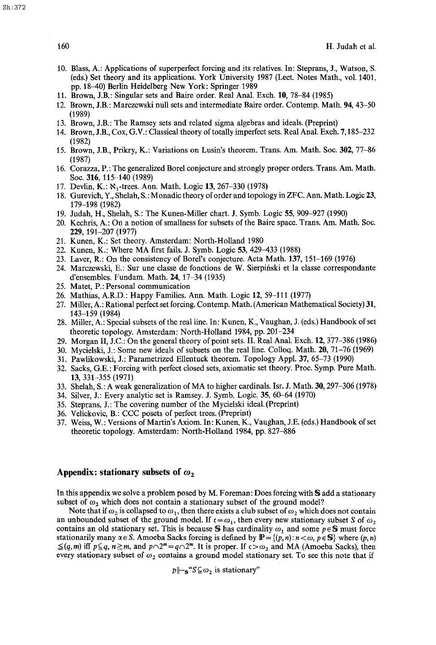- 10. Blass, A.: Applications of superperfect forcing and its relatives. In: Steprans, J., Watson, S. (eds.) Set theory and its applications. York University 1987 (Lect. Notes Math., vol. 1401, pp. 18-40) Berlin Heidelberg New York: Springer 1989
- 11. Brown, J.B.: Singular sets and Baire order. Real Anal. Exch. 10, 78-84 (1985)
- 12. Brown, J.B.: Marczewski null sets and intermediate Balre order. Contemp. Math. 94, 43-50 (1989)
- 13. Brown, J.B.: The Ramsey sets and related sigma algebras and ideals. (Preprint)
- 14. Brown, J.B., Cox, G.V.: Classical theory of totally imperfect sets. Real Anal. Exch. 7,185-232 (1982)
- 15. Brown, J.B., Prikry, K.: Variations on Lusin's theorem. Trans. Am. Math. Soc. 302, 77-86 (1987)
- 16. Corazza, P.: The generalized Borel conjecture and strongly proper orders. Trans. Am. Math. Soc. 316, 115-140 (1989)
- 17. Devlin, K.: N<sub>1</sub>-trees. Ann. Math. Logic 13, 267-330 (1978)
- 18. Gurevich, Y., Shelah, S.: Monadic theory of order and topology in ZFC. Ann. Math. Logic 23, 179-198 (1982)
- 19. Judah, H., Shelah, S.: The Kunen-Miller chart. J. Symb. Logic 55, 909-927 (1990)
- 20. Kechris, A.: On a notion of smallness for subsets of the Baire space. Trans. Am. Math. Soc. 229, 191-207 (1977)
- 21. Kunen, K.: Set theory. Amsterdam: North-Holland 1980
- 22. Kunen, K.: Where MA first fails. J. Symb. Logic 53, 429-433 (1988)
- 23. Laver, R.: On the consistency of Borel's conjecture. Acta Math. 137, 151-169 (1976)
- 24. Marczewski, E.: Sur une classe de fonctions de W. Sierpifiski et la classe correspondante d'ensembles. Fundam. Math. 24, 17-34 (1935)
- 25. Matet, P.: Personal communication
- 26. Mathias, A.R.D.: Happy Families. Ann. Math. Logic 12, 59-111 (1977)
- 27. Miller, A.: Rational perfect set forcing. Contemp. Math. (American MathematicalSociety) 31, 143-159 (1984)
- 28. Miller, A.: Special subsets of the real line. In: Kunen, K., Vaughan, J. (eds.) Handbook of set theoretic topology. Amsterdam: North-Holland 1984, pp. 201-234
- 29. Morgan II, J.C.: On the general theory of point sets. II. Real Anal. Exch. 12, 377-386 (1986)
- 30. Mycielski, J.: Some new ideals of subsets on the real line. Colloq. Math. 20, 71-76 (1969)
- 31. Pawlikowski, J.: Parametrized Ellentuck theorem. Topology Appl. 37, 65-73 (1990)
- 32. Sacks, G.E.: Forcing with perfect closed sets, axiomatic set theory. Proc. Syrup. Pure Math. 13, 331-355 (1971)
- 33. Shelah, S.: A weak generalization of MA to higher cardinals. Isr. J. Math. 30, 297-306 (1978)
- 34. Silver, J.: Every analytic set is Ramsey. J. Symb. Logic. 35, 60-64 (1970)
- 35. Steprans, J.: The covering number of the Mycielski ideal.(Preprint)
- 36. Velickovic, B.: CCC posets of perfect trees. (Preprint)
- 37. Weiss, W.: Versions of Martin's Axiom. In: Kunen, K., Vaughan, J.E. (eds.) Handbook of set theoretic topology. Amsterdam: North-Holland 1984, pp. 827-886

#### **Appendix: stationary subsets of**  $\omega_2$

In this appendix we solve a problem posed by M. Foreman: Does forcing with S add a stationary subset of  $\omega_2$  which does not contain a stationary subset of the ground model?

Note that if  $\omega_2$  is collapsed to  $\omega_1$ , then there exists a club subset of  $\omega_2$  which does not contain an unbounded subset of the ground model. If  $t = \omega_1$ , then every new stationary subset S of  $\omega_2$ contains an old stationary set. This is because S has cardinality  $\omega_1$  and some  $p \in S$  must force stationarily many  $\alpha \in S$ . Amoeba Sacks forcing is defined by  $\mathbb{P} = \{(p, n) : n < \omega, p \in S\}$  where  $(p, n)$  $\leq (q, m)$  iff  $p \leq q$ ,  $n \geq m$ , and  $p \cap 2^m = q \cap 2^m$ . It is proper. If  $c > \omega_2$  and MA (Amoeba Sacks), then every stationary subset of  $\omega_2$  contains a ground model stationary set. To see this note that if

 $p\|-\mathbf{s}^*\mathbf{S}\subseteq\omega_2$  is stationary"